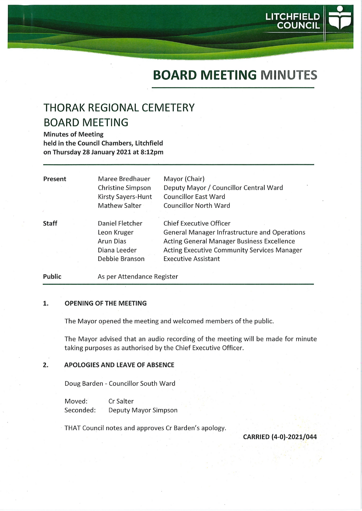# BOARD MEETING MINUTES

LITCHFIELD COUNCIL

# THORAK REGIONAL CEMETERY BOARD MEETING

Minutes of Meeting held in the Council Chambers, Litchfield on Thursday 28 January 2021 at 8:12pm

| Present      | Maree Bredhauer<br>Christine Simpson<br>Kirsty Sayers-Hunt<br>Mathew Salter   | Mayor (Chair)<br>Deputy Mayor / Councillor Central Ward<br><b>Councillor East Ward</b><br><b>Councillor North Ward</b>                                                                                                          |
|--------------|-------------------------------------------------------------------------------|---------------------------------------------------------------------------------------------------------------------------------------------------------------------------------------------------------------------------------|
| <b>Staff</b> | Daniel Fletcher<br>Leon Kruger<br>Arun Dias<br>Diana Leeder<br>Debbie Branson | <b>Chief Executive Officer</b><br><b>General Manager Infrastructure and Operations</b><br><b>Acting General Manager Business Excellence</b><br><b>Acting Executive Community Services Manager</b><br><b>Executive Assistant</b> |

Public As per Attendance Register

#### $\mathbf{1}$ . OPENING OF THE MEETING

The Mayor opened the meeting and welcomed members of the public.

The Mayor advised that an audio recording of the meeting will be made for minute taking purposes as authorised by the Chief Executive Officer.

#### $2.$ APOLOGIES AND LEAVE OF ABSENCE

Doug Barden - Councillor South Ward

Moved: CrSalter Seconded: Deputy Mayor Simpson

THAT Council notes and approves Cr Barden's apology.

CARRIED (4-0)-2021/044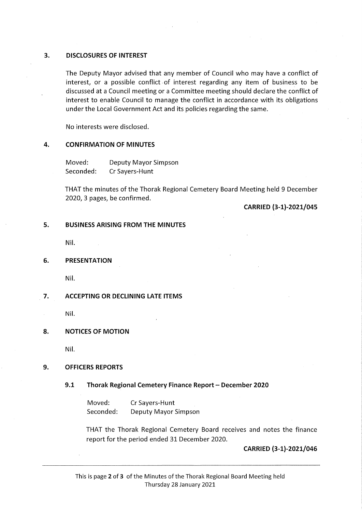## 3. DISCLOSURES OF INTEREST

The Deputy Mayor advised that any member of Council who may have a conflict of interest, or a possible conflict of interest regarding any item of business to be discussed at a Council meeting or a Committee meeting should declare the conflict of interest to enable Council to manage the conflict in accordance with its obligations under the Local Government Act and its policies regarding the same.

No interests were disclosed.

# 4. CONFIRMATION OF MINUTES

Moved: Deputy Mayor Simpson Seconded: Cr Sayers-Hunt

THAT the minutes of the Thorak Regional Cemetery Board Meeting held 9 December 2020, 3 pages, be confirmed.

CARRIED (3-1)-2021/045

# 5. BUSINESS ARISING FROM THE MINUTES

Nil.

#### 6. PRESENTATION

Nil.

# 7. ACCEPTING OR DECLINING LATE ITEMS

Nil.

## 8. NOTICES OF MOTION

Nil.

## 9. OFFICERS REPORTS

## 9.1 Thorak Regional Cemetery Finance Report - December 2020

Moved: CrSayers-Hunt Seconded: Deputy Mayor Simpson

THAT the Thorak Regional Cemetery Board receives and notes the finance report for the period ended 31 December 2020.

# CARRIED (3-1)-2021/046